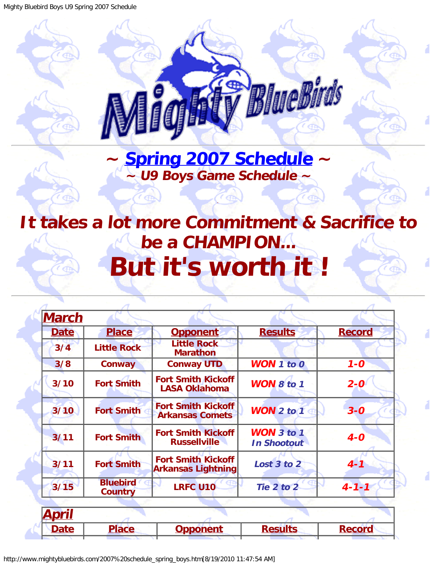<span id="page-0-0"></span>Mighty Bluebird Boys U9 Spring 2007 Schedule

BlueBirds **~ [Spring 2007 Schedule](#page-0-0) ~**

## <span id="page-0-1"></span>**It takes a lot more Commitment & Sacrifice to be a CHAMPION... But it's worth it !**

.

**~ U9 Boys Game Schedule ~**

 $\epsilon$ 

| <b>March</b> |                                   |                                                        |                                         |               |
|--------------|-----------------------------------|--------------------------------------------------------|-----------------------------------------|---------------|
| <b>Date</b>  | <b>Place</b>                      | <b>Opponent</b>                                        | <b>Results</b>                          | <b>Record</b> |
| 3/4          | <b>Little Rock</b>                | <b>Little Rock</b><br><b>Marathon</b>                  |                                         |               |
| 3/8          | Conway                            | <b>Conway UTD</b>                                      | <b>WON 1 to 0</b>                       | $1 - 0$       |
| 3/10         | <b>Fort Smith</b>                 | <b>Fort Smith Kickoff</b><br><b>LASA Oklahoma</b>      | WON 8 to 1                              | $2 - 0$       |
| 3/10         | <b>Fort Smith</b>                 | <b>Fort Smith Kickoff</b><br><b>Arkansas Comets</b>    | WON $2$ to $1$                          | $3 - 0$       |
| 3/11         | <b>Fort Smith</b>                 | <b>Fort Smith Kickoff</b><br><b>Russellville</b>       | <b>WON</b> 3 to 1<br><b>In Shootout</b> | $4-0$         |
| 3/11         | <b>Fort Smith</b>                 | <b>Fort Smith Kickoff</b><br><b>Arkansas Lightning</b> | Lost 3 to 2                             | $4 - 1$       |
| 3/15         | <b>Bluebird</b><br><b>Country</b> | <b>LRFC U10</b>                                        | Tie 2 to 2                              | $4 - 1 - 1$   |
|              |                                   |                                                        |                                         |               |
| <u>April</u> |                                   |                                                        |                                         |               |
| <b>Date</b>  | <b>Place</b>                      | <b>Opponent</b>                                        | <b>Results</b>                          | <b>Record</b> |
|              |                                   |                                                        |                                         |               |

http://www.mightybluebirds.com/2007%20schedule\_spring\_boys.htm[8/19/2010 11:47:54 AM]